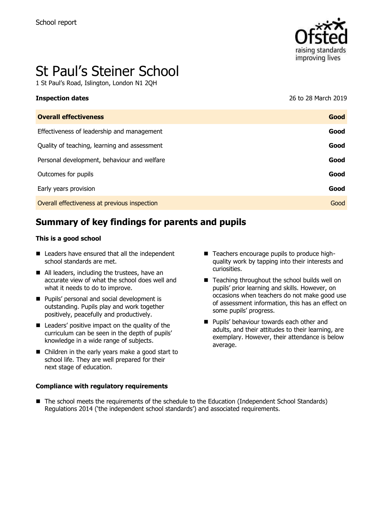

# St Paul's Steiner School

1 St Paul's Road, Islington, London N1 2QH

| Inspection dates                             | 26 to 28 March 2019 |
|----------------------------------------------|---------------------|
| <b>Overall effectiveness</b>                 | Good                |
| Effectiveness of leadership and management   | Good                |
| Quality of teaching, learning and assessment | Good                |

Personal development, behaviour and welfare **Good Good** 

Outcomes for pupils **Good**

Early years provision **Good**

Overall effectiveness at previous inspection Good

# **Summary of key findings for parents and pupils**

#### **This is a good school**

- Leaders have ensured that all the independent school standards are met.
- All leaders, including the trustees, have an accurate view of what the school does well and what it needs to do to improve.
- Pupils' personal and social development is outstanding. Pupils play and work together positively, peacefully and productively.
- Leaders' positive impact on the quality of the curriculum can be seen in the depth of pupils' knowledge in a wide range of subjects.
- Children in the early years make a good start to school life. They are well prepared for their next stage of education.

#### **Compliance with regulatory requirements**

- Teachers encourage pupils to produce highquality work by tapping into their interests and curiosities.
- Teaching throughout the school builds well on pupils' prior learning and skills. However, on occasions when teachers do not make good use of assessment information, this has an effect on some pupils' progress.
- Pupils' behaviour towards each other and adults, and their attitudes to their learning, are exemplary. However, their attendance is below average.
- The school meets the requirements of the schedule to the Education (Independent School Standards) Regulations 2014 ('the independent school standards') and associated requirements.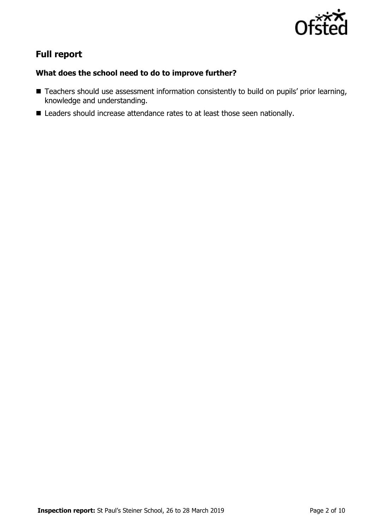

# **Full report**

# **What does the school need to do to improve further?**

- Teachers should use assessment information consistently to build on pupils' prior learning, knowledge and understanding.
- Leaders should increase attendance rates to at least those seen nationally.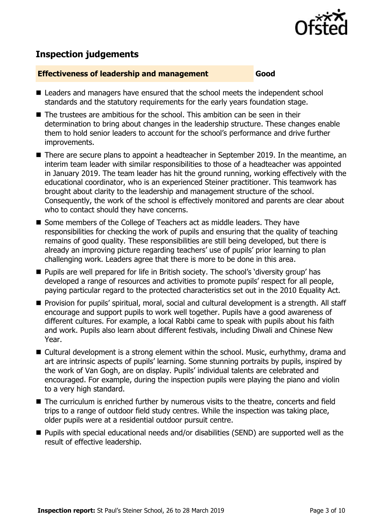

# **Inspection judgements**

#### **Effectiveness of leadership and management Good**

- Leaders and managers have ensured that the school meets the independent school standards and the statutory requirements for the early years foundation stage.
- The trustees are ambitious for the school. This ambition can be seen in their determination to bring about changes in the leadership structure. These changes enable them to hold senior leaders to account for the school's performance and drive further improvements.
- There are secure plans to appoint a headteacher in September 2019. In the meantime, an interim team leader with similar responsibilities to those of a headteacher was appointed in January 2019. The team leader has hit the ground running, working effectively with the educational coordinator, who is an experienced Steiner practitioner. This teamwork has brought about clarity to the leadership and management structure of the school. Consequently, the work of the school is effectively monitored and parents are clear about who to contact should they have concerns.
- Some members of the College of Teachers act as middle leaders. They have responsibilities for checking the work of pupils and ensuring that the quality of teaching remains of good quality. These responsibilities are still being developed, but there is already an improving picture regarding teachers' use of pupils' prior learning to plan challenging work. Leaders agree that there is more to be done in this area.
- Pupils are well prepared for life in British society. The school's 'diversity group' has developed a range of resources and activities to promote pupils' respect for all people, paying particular regard to the protected characteristics set out in the 2010 Equality Act.
- Provision for pupils' spiritual, moral, social and cultural development is a strength. All staff encourage and support pupils to work well together. Pupils have a good awareness of different cultures. For example, a local Rabbi came to speak with pupils about his faith and work. Pupils also learn about different festivals, including Diwali and Chinese New Year.
- Cultural development is a strong element within the school. Music, eurhythmy, drama and art are intrinsic aspects of pupils' learning. Some stunning portraits by pupils, inspired by the work of Van Gogh, are on display. Pupils' individual talents are celebrated and encouraged. For example, during the inspection pupils were playing the piano and violin to a very high standard.
- The curriculum is enriched further by numerous visits to the theatre, concerts and field trips to a range of outdoor field study centres. While the inspection was taking place, older pupils were at a residential outdoor pursuit centre.
- Pupils with special educational needs and/or disabilities (SEND) are supported well as the result of effective leadership.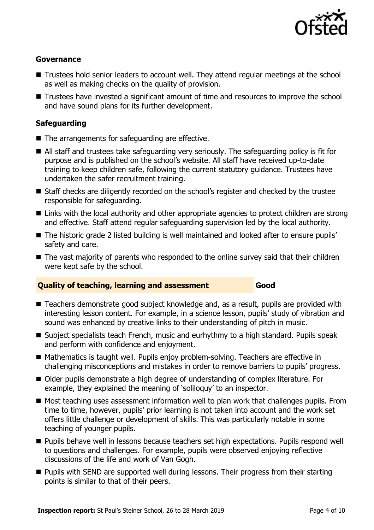

### **Governance**

- Trustees hold senior leaders to account well. They attend regular meetings at the school as well as making checks on the quality of provision.
- Trustees have invested a significant amount of time and resources to improve the school and have sound plans for its further development.

## **Safeguarding**

- The arrangements for safeguarding are effective.
- All staff and trustees take safeguarding very seriously. The safeguarding policy is fit for purpose and is published on the school's website. All staff have received up-to-date training to keep children safe, following the current statutory guidance. Trustees have undertaken the safer recruitment training.
- Staff checks are diligently recorded on the school's register and checked by the trustee responsible for safeguarding.
- Links with the local authority and other appropriate agencies to protect children are strong and effective. Staff attend regular safeguarding supervision led by the local authority.
- The historic grade 2 listed building is well maintained and looked after to ensure pupils' safety and care.
- The vast majority of parents who responded to the online survey said that their children were kept safe by the school.

### **Quality of teaching, learning and assessment Good**

- Teachers demonstrate good subject knowledge and, as a result, pupils are provided with interesting lesson content. For example, in a science lesson, pupils' study of vibration and sound was enhanced by creative links to their understanding of pitch in music.
- Subject specialists teach French, music and eurhythmy to a high standard. Pupils speak and perform with confidence and enjoyment.
- Mathematics is taught well. Pupils enjoy problem-solving. Teachers are effective in challenging misconceptions and mistakes in order to remove barriers to pupils' progress.
- Older pupils demonstrate a high degree of understanding of complex literature. For example, they explained the meaning of 'soliloquy' to an inspector.
- Most teaching uses assessment information well to plan work that challenges pupils. From time to time, however, pupils' prior learning is not taken into account and the work set offers little challenge or development of skills. This was particularly notable in some teaching of younger pupils.
- Pupils behave well in lessons because teachers set high expectations. Pupils respond well to questions and challenges. For example, pupils were observed enjoying reflective discussions of the life and work of Van Gogh.
- Pupils with SEND are supported well during lessons. Their progress from their starting points is similar to that of their peers.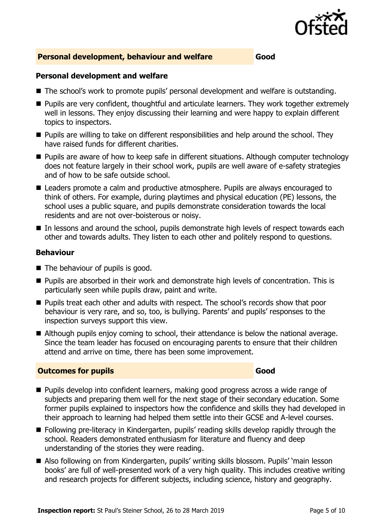

#### **Personal development, behaviour and welfare Good**

#### **Personal development and welfare**

- The school's work to promote pupils' personal development and welfare is outstanding.
- Pupils are very confident, thoughtful and articulate learners. They work together extremely well in lessons. They enjoy discussing their learning and were happy to explain different topics to inspectors.
- Pupils are willing to take on different responsibilities and help around the school. They have raised funds for different charities.
- Pupils are aware of how to keep safe in different situations. Although computer technology does not feature largely in their school work, pupils are well aware of e-safety strategies and of how to be safe outside school.
- Leaders promote a calm and productive atmosphere. Pupils are always encouraged to think of others. For example, during playtimes and physical education (PE) lessons, the school uses a public square, and pupils demonstrate consideration towards the local residents and are not over-boisterous or noisy.
- In lessons and around the school, pupils demonstrate high levels of respect towards each other and towards adults. They listen to each other and politely respond to questions.

#### **Behaviour**

- The behaviour of pupils is good.
- Pupils are absorbed in their work and demonstrate high levels of concentration. This is particularly seen while pupils draw, paint and write.
- Pupils treat each other and adults with respect. The school's records show that poor behaviour is very rare, and so, too, is bullying. Parents' and pupils' responses to the inspection surveys support this view.
- Although pupils enjoy coming to school, their attendance is below the national average. Since the team leader has focused on encouraging parents to ensure that their children attend and arrive on time, there has been some improvement.

#### **Outcomes for pupils Good**

- Pupils develop into confident learners, making good progress across a wide range of subjects and preparing them well for the next stage of their secondary education. Some former pupils explained to inspectors how the confidence and skills they had developed in their approach to learning had helped them settle into their GCSE and A-level courses.
- Following pre-literacy in Kindergarten, pupils' reading skills develop rapidly through the school. Readers demonstrated enthusiasm for literature and fluency and deep understanding of the stories they were reading.
- Also following on from Kindergarten, pupils' writing skills blossom. Pupils' 'main lesson books' are full of well-presented work of a very high quality. This includes creative writing and research projects for different subjects, including science, history and geography.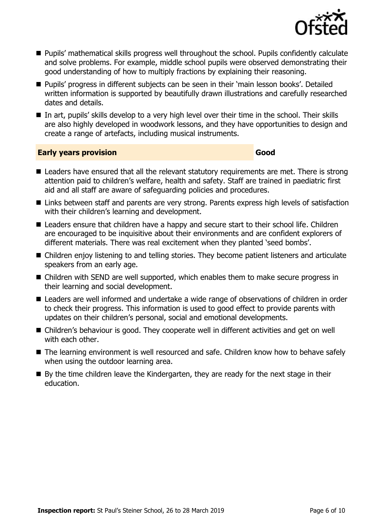

- Pupils' mathematical skills progress well throughout the school. Pupils confidently calculate and solve problems. For example, middle school pupils were observed demonstrating their good understanding of how to multiply fractions by explaining their reasoning.
- Pupils' progress in different subjects can be seen in their 'main lesson books'. Detailed written information is supported by beautifully drawn illustrations and carefully researched dates and details.
- In art, pupils' skills develop to a very high level over their time in the school. Their skills are also highly developed in woodwork lessons, and they have opportunities to design and create a range of artefacts, including musical instruments.

#### **Early years provision Good Good**

- Leaders have ensured that all the relevant statutory requirements are met. There is strong attention paid to children's welfare, health and safety. Staff are trained in paediatric first aid and all staff are aware of safeguarding policies and procedures.
- Links between staff and parents are very strong. Parents express high levels of satisfaction with their children's learning and development.
- Leaders ensure that children have a happy and secure start to their school life. Children are encouraged to be inquisitive about their environments and are confident explorers of different materials. There was real excitement when they planted 'seed bombs'.
- Children enjoy listening to and telling stories. They become patient listeners and articulate speakers from an early age.
- Children with SEND are well supported, which enables them to make secure progress in their learning and social development.
- Leaders are well informed and undertake a wide range of observations of children in order to check their progress. This information is used to good effect to provide parents with updates on their children's personal, social and emotional developments.
- Children's behaviour is good. They cooperate well in different activities and get on well with each other.
- The learning environment is well resourced and safe. Children know how to behave safely when using the outdoor learning area.
- By the time children leave the Kindergarten, they are ready for the next stage in their education.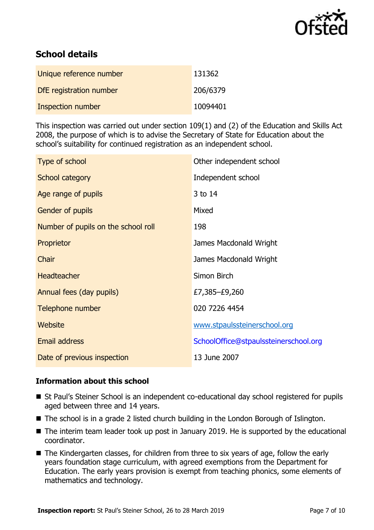

# **School details**

| Unique reference number  | 131362   |
|--------------------------|----------|
| DfE registration number  | 206/6379 |
| <b>Inspection number</b> | 10094401 |

This inspection was carried out under section 109(1) and (2) of the Education and Skills Act 2008, the purpose of which is to advise the Secretary of State for Education about the school's suitability for continued registration as an independent school.

| Type of school                      | Other independent school              |
|-------------------------------------|---------------------------------------|
| School category                     | Independent school                    |
| Age range of pupils                 | 3 to 14                               |
| Gender of pupils                    | Mixed                                 |
| Number of pupils on the school roll | 198                                   |
| Proprietor                          | James Macdonald Wright                |
| Chair                               | James Macdonald Wright                |
| <b>Headteacher</b>                  | Simon Birch                           |
| Annual fees (day pupils)            | £7,385–£9,260                         |
| Telephone number                    | 020 7226 4454                         |
| Website                             | www.stpaulssteinerschool.org          |
| <b>Email address</b>                | SchoolOffice@stpaulssteinerschool.org |
| Date of previous inspection         | 13 June 2007                          |

#### **Information about this school**

- St Paul's Steiner School is an independent co-educational day school registered for pupils aged between three and 14 years.
- The school is in a grade 2 listed church building in the London Borough of Islington.
- The interim team leader took up post in January 2019. He is supported by the educational coordinator.
- The Kindergarten classes, for children from three to six years of age, follow the early years foundation stage curriculum, with agreed exemptions from the Department for Education. The early years provision is exempt from teaching phonics, some elements of mathematics and technology.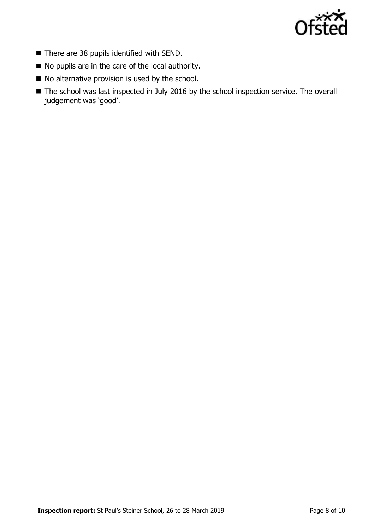

- There are 38 pupils identified with SEND.
- No pupils are in the care of the local authority.
- No alternative provision is used by the school.
- The school was last inspected in July 2016 by the school inspection service. The overall judgement was 'good'.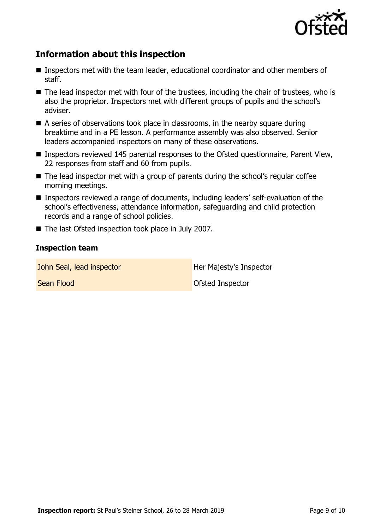

# **Information about this inspection**

- Inspectors met with the team leader, educational coordinator and other members of staff.
- The lead inspector met with four of the trustees, including the chair of trustees, who is also the proprietor. Inspectors met with different groups of pupils and the school's adviser.
- $\blacksquare$  A series of observations took place in classrooms, in the nearby square during breaktime and in a PE lesson. A performance assembly was also observed. Senior leaders accompanied inspectors on many of these observations.
- Inspectors reviewed 145 parental responses to the Ofsted questionnaire, Parent View, 22 responses from staff and 60 from pupils.
- The lead inspector met with a group of parents during the school's regular coffee morning meetings.
- Inspectors reviewed a range of documents, including leaders' self-evaluation of the school's effectiveness, attendance information, safeguarding and child protection records and a range of school policies.
- The last Ofsted inspection took place in July 2007.

#### **Inspection team**

John Seal, lead inspector **Her Majesty's Inspector** 

**Sean Flood Ofsted Inspector**